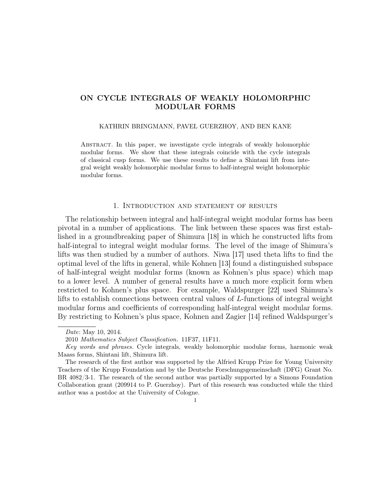# ON CYCLE INTEGRALS OF WEAKLY HOLOMORPHIC MODULAR FORMS

#### KATHRIN BRINGMANN, PAVEL GUERZHOY, AND BEN KANE

Abstract. In this paper, we investigate cycle integrals of weakly holomorphic modular forms. We show that these integrals coincide with the cycle integrals of classical cusp forms. We use these results to define a Shintani lift from integral weight weakly holomorphic modular forms to half-integral weight holomorphic modular forms.

## 1. Introduction and statement of results

The relationship between integral and half-integral weight modular forms has been pivotal in a number of applications. The link between these spaces was first established in a groundbreaking paper of Shimura [18] in which he constructed lifts from half-integral to integral weight modular forms. The level of the image of Shimura's lifts was then studied by a number of authors. Niwa [17] used theta lifts to find the optimal level of the lifts in general, while Kohnen [13] found a distinguished subspace of half-integral weight modular forms (known as Kohnen's plus space) which map to a lower level. A number of general results have a much more explicit form when restricted to Kohnen's plus space. For example, Waldspurger [22] used Shimura's lifts to establish connections between central values of L-functions of integral weight modular forms and coefficients of corresponding half-integral weight modular forms. By restricting to Kohnen's plus space, Kohnen and Zagier [14] refined Waldspurger's

1

Date: May 10, 2014.

<sup>2010</sup> Mathematics Subject Classification. 11F37, 11F11.

Key words and phrases. Cycle integrals, weakly holomorphic modular forms, harmonic weak Maass forms, Shintani lift, Shimura lift.

The research of the first author was supported by the Alfried Krupp Prize for Young University Teachers of the Krupp Foundation and by the Deutsche Forschungsgemeinschaft (DFG) Grant No. BR 4082/3-1. The research of the second author was partially supported by a Simons Foundation Collaboration grant (209914 to P. Guerzhoy). Part of this research was conducted while the third author was a postdoc at the University of Cologne.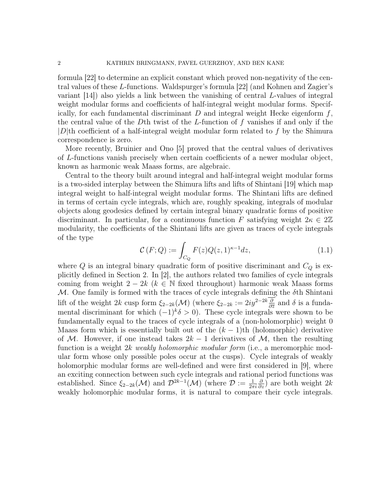formula [22] to determine an explicit constant which proved non-negativity of the central values of these L-functions. Waldspurger's formula [22] (and Kohnen and Zagier's variant [14]) also yields a link between the vanishing of central L-values of integral weight modular forms and coefficients of half-integral weight modular forms. Specifically, for each fundamental discriminant  $D$  and integral weight Hecke eigenform  $f$ , the central value of the Dth twist of the L-function of  $f$  vanishes if and only if the  $|D|$ th coefficient of a half-integral weight modular form related to f by the Shimura correspondence is zero.

More recently, Bruinier and Ono [5] proved that the central values of derivatives of L-functions vanish precisely when certain coefficients of a newer modular object, known as harmonic weak Maass forms, are algebraic.

Central to the theory built around integral and half-integral weight modular forms is a two-sided interplay between the Shimura lifts and lifts of Shintani [19] which map integral weight to half-integral weight modular forms. The Shintani lifts are defined in terms of certain cycle integrals, which are, roughly speaking, integrals of modular objects along geodesics defined by certain integral binary quadratic forms of positive discriminant. In particular, for a continuous function F satisfying weight  $2\kappa \in 2\mathbb{Z}$ modularity, the coefficients of the Shintani lifts are given as traces of cycle integrals of the type

$$
\mathcal{C}(F;Q) := \int_{C_Q} F(z)Q(z,1)^{\kappa-1}dz,\tag{1.1}
$$

where  $Q$  is an integral binary quadratic form of positive discriminant and  $C_Q$  is explicitly defined in Section 2. In [2], the authors related two families of cycle integrals coming from weight  $2 - 2k$  ( $k \in \mathbb{N}$  fixed throughout) harmonic weak Maass forms  $M$ . One family is formed with the traces of cycle integrals defining the  $\delta$ th Shintani lift of the weight 2k cusp form  $\xi_{2-2k}(\mathcal{M})$  (where  $\xi_{2-2k} := 2iy^{2-2k}\frac{\partial}{\partial \overline{z}}$  and  $\delta$  is a fundamental discriminant for which  $(-1)^{k} \delta > 0$ ). These cycle integrals were shown to be fundamentally equal to the traces of cycle integrals of a (non-holomorphic) weight 0 Maass form which is essentially built out of the  $(k-1)$ th (holomorphic) derivative of M. However, if one instead takes  $2k-1$  derivatives of M, then the resulting function is a weight 2k weakly holomorphic modular form (i.e., a meromorphic modular form whose only possible poles occur at the cusps). Cycle integrals of weakly holomorphic modular forms are well-defined and were first considered in [9], where an exciting connection between such cycle integrals and rational period functions was established. Since  $\xi_{2-2k}(\mathcal{M})$  and  $\mathcal{D}^{2k-1}(\mathcal{M})$  (where  $\mathcal{D} := \frac{1}{2\pi i}$  $\frac{\partial}{\partial z}$ ) are both weight 2k weakly holomorphic modular forms, it is natural to compare their cycle integrals.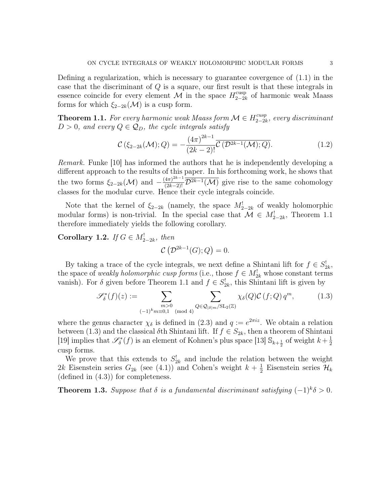Defining a regularization, which is necessary to guarantee covergence of (1.1) in the case that the discriminant of Q is a square, our first result is that these integrals in essence coincide for every element M in the space  $H_{2-2l}^{\text{cusp}}$  $_{2-2k}^{\text{cusp}}$  of harmonic weak Maass forms for which  $\xi_{2-2k}(\mathcal{M})$  is a cusp form.

**Theorem 1.1.** For every harmonic weak Maass form  $\mathcal{M} \in H_{2-2l}^{cusp}$  $\frac{cusp}{2-2k}$ , every discriminant  $D > 0$ , and every  $Q \in \mathcal{Q}_D$ , the cycle integrals satisfy

$$
\mathcal{C}\left(\xi_{2-2k}(\mathcal{M});Q\right) = -\frac{\left(4\pi\right)^{2k-1}}{\left(2k-2\right)!} \overline{\mathcal{C}\left(\mathcal{D}^{2k-1}(\mathcal{M});Q\right)}.
$$
\n(1.2)

Remark. Funke [10] has informed the authors that he is independently developing a different approach to the results of this paper. In his forthcoming work, he shows that the two forms  $\xi_{2-2k}(\mathcal{M})$  and  $-\frac{(4\pi)^{2k-1}}{(2k-2)!}\overline{\mathcal{D}^{2k-1}(\mathcal{M})}$  give rise to the same cohomology classes for the modular curve. Hence their cycle integrals coincide.

Note that the kernel of  $\xi_{2-2k}$  (namely, the space  $M_{2-2k}^!$  of weakly holomorphic modular forms) is non-trivial. In the special case that  $\mathcal{M} \in M^!_{2-2k}$ , Theorem 1.1 therefore immediately yields the following corollary.

Corollary 1.2. If  $G \in M^!_{2-2k}$ , then

$$
\mathcal{C}\left(\mathcal{D}^{2k-1}(G);Q\right)=0.
$$

By taking a trace of the cycle integrals, we next define a Shintani lift for  $f \in S_{2k}^!$ , the space of weakly holomorphic cusp forms (i.e., those  $f \in M_{2k}^!$  whose constant terms vanish). For  $\delta$  given before Theorem 1.1 and  $f \in S_{2k}^!$ , this Shintani lift is given by

$$
\mathscr{S}_{\delta}^*(f)(z) := \sum_{\substack{m>0\\(-1)^k m \equiv 0,1 \pmod{4}}} \sum_{Q \in \mathcal{Q}_{|\delta|m}/\mathrm{SL}_2(\mathbb{Z})} \chi_{\delta}(Q) \mathcal{C}(f;Q) q^m, \tag{1.3}
$$

where the genus character  $\chi_{\delta}$  is defined in (2.3) and  $q := e^{2\pi i z}$ . We obtain a relation between (1.3) and the classical  $\delta$ th Shintani lift. If  $f \in S_{2k}$ , then a theorem of Shintani [19] implies that  $\mathscr{S}_{\delta}^*(f)$  is an element of Kohnen's plus space [13]  $\mathbb{S}_{k+\frac{1}{2}}$  of weight  $k+\frac{1}{2}$ 2 cusp forms.

We prove that this extends to  $S_{2k}^!$  and include the relation between the weight 2k Eisenstein series  $G_{2k}$  (see (4.1)) and Cohen's weight  $k+\frac{1}{2}$  $\frac{1}{2}$  Eisenstein series  $\mathcal{H}_k$ (defined in (4.3)) for completeness.

**Theorem 1.3.** Suppose that  $\delta$  is a fundamental discriminant satisfying  $(-1)^{k} \delta > 0$ .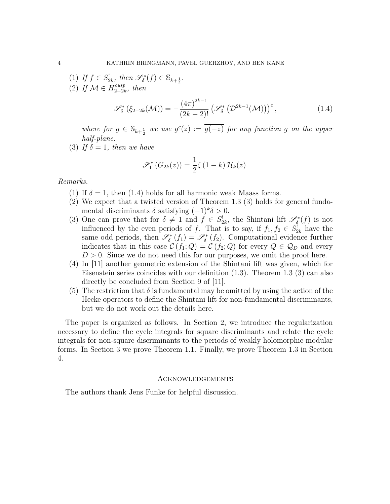- (1) If  $f \in S_{2k}^!$ , then  $\mathscr{S}_{\delta}^*(f) \in \mathbb{S}_{k+\frac{1}{2}}$ .
- (2) If  $\mathcal{M} \in H_{2-2l}^{cusp}$  $_{2-2k}^{cusp}$ , then

$$
\mathcal{S}_{\delta}^{*}\left(\xi_{2-2k}(\mathcal{M})\right) = -\frac{(4\pi)^{2k-1}}{(2k-2)!} \left(\mathcal{S}_{\delta}^{*}\left(\mathcal{D}^{2k-1}(\mathcal{M})\right)\right)^{c},\tag{1.4}
$$

where for  $g \in \mathbb{S}_{k+\frac{1}{2}}$  we use  $g^{c}(z) := \overline{g(-\overline{z})}$  for any function g on the upper half-plane.

(3) If  $\delta = 1$ , then we have

$$
\mathscr{S}_1^* \left( G_{2k}(z) \right) = \frac{1}{2} \zeta \left( 1 - k \right) \mathcal{H}_k(z).
$$

Remarks.

- (1) If  $\delta = 1$ , then (1.4) holds for all harmonic weak Maass forms.
- (2) We expect that a twisted version of Theorem 1.3 (3) holds for general fundamental discriminants  $\delta$  satisfying  $(-1)^{k} \delta > 0$ .
- (3) One can prove that for  $\delta \neq 1$  and  $f \in S_{2k}^!$ , the Shintani lift  $\mathscr{S}_{\delta}^*(f)$  is not influenced by the even periods of f. That is to say, if  $f_1, f_2 \in S^!_{2k}$  have the same odd periods, then  $\mathscr{S}_{\delta}^*(f_1) = \mathscr{S}_{\delta}^*(f_2)$ . Computational evidence further indicates that in this case  $\mathcal{C}(f_1; Q) = \mathcal{C}(f_2; Q)$  for every  $Q \in \mathcal{Q}_D$  and every  $D > 0$ . Since we do not need this for our purposes, we omit the proof here.
- (4) In [11] another geometric extension of the Shintani lift was given, which for Eisenstein series coincides with our definition (1.3). Theorem 1.3 (3) can also directly be concluded from Section 9 of [11].
- (5) The restriction that  $\delta$  is fundamental may be omitted by using the action of the Hecke operators to define the Shintani lift for non-fundamental discriminants, but we do not work out the details here.

The paper is organized as follows. In Section 2, we introduce the regularization necessary to define the cycle integrals for square discriminants and relate the cycle integrals for non-square discriminants to the periods of weakly holomorphic modular forms. In Section 3 we prove Theorem 1.1. Finally, we prove Theorem 1.3 in Section 4.

#### Acknowledgements

The authors thank Jens Funke for helpful discussion.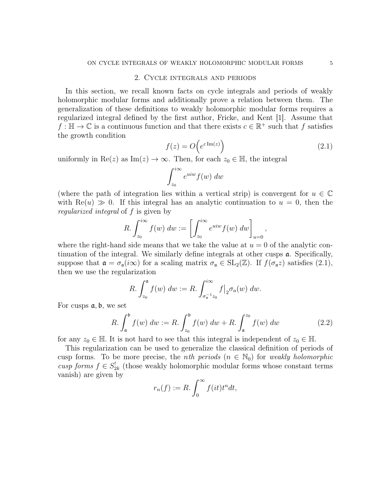### 2. Cycle integrals and periods

In this section, we recall known facts on cycle integrals and periods of weakly holomorphic modular forms and additionally prove a relation between them. The generalization of these definitions to weakly holomorphic modular forms requires a regularized integral defined by the first author, Fricke, and Kent [1]. Assume that  $f : \mathbb{H} \to \mathbb{C}$  is a continuous function and that there exists  $c \in \mathbb{R}^+$  such that f satisfies the growth condition

$$
f(z) = O\left(e^{c \operatorname{Im}(z)}\right) \tag{2.1}
$$

uniformly in Re(z) as Im(z)  $\rightarrow \infty$ . Then, for each  $z_0 \in \mathbb{H}$ , the integral

$$
\int_{z_0}^{i\infty} e^{uiw} f(w) \ dw
$$

(where the path of integration lies within a vertical strip) is convergent for  $u \in \mathbb{C}$ with  $\text{Re}(u) \gg 0$ . If this integral has an analytic continuation to  $u = 0$ , then the regularized integral of f is given by

$$
R. \int_{z_0}^{i\infty} f(w) \ dw := \left[ \int_{z_0}^{i\infty} e^{uiw} f(w) \ dw \right]_{u=0},
$$

where the right-hand side means that we take the value at  $u = 0$  of the analytic continuation of the integral. We similarly define integrals at other cusps a. Specifically, suppose that  $\mathfrak{a} = \sigma_{\mathfrak{a}}(i\infty)$  for a scaling matrix  $\sigma_{\mathfrak{a}} \in SL_2(\mathbb{Z})$ . If  $f(\sigma_{\mathfrak{a}}z)$  satisfies  $(2.1)$ , then we use the regularization

$$
R. \int_{z_0}^{\mathfrak{a}} f(w) \ dw := R. \int_{\sigma_{\mathfrak{a}}^{-1} z_0}^{\infty} f \big|_{2} \sigma_a(w) \ dw.
$$

For cusps  $a, b$ , we set

$$
R. \int_{\mathfrak{a}}^{\mathfrak{b}} f(w) \, dw := R. \int_{z_0}^{\mathfrak{b}} f(w) \, dw + R. \int_{\mathfrak{a}}^{z_0} f(w) \, dw \tag{2.2}
$$

for any  $z_0 \in \mathbb{H}$ . It is not hard to see that this integral is independent of  $z_0 \in \mathbb{H}$ .

This regularization can be used to generalize the classical definition of periods of cusp forms. To be more precise, the *nth periods*  $(n \in \mathbb{N}_0)$  for weakly holomorphic cusp forms  $f \in S_{2k}^!$  (those weakly holomorphic modular forms whose constant terms vanish) are given by

$$
r_n(f) := R. \int_0^\infty f(it) t^n dt,
$$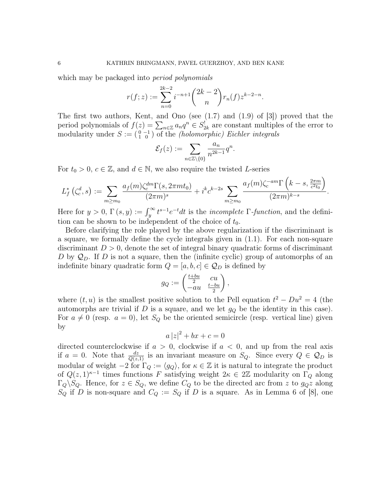which may be packaged into *period polynomials* 

$$
r(f;z) := \sum_{n=0}^{2k-2} i^{-n+1} {2k-2 \choose n} r_n(f) z^{k-2-n}.
$$

The first two authors, Kent, and Ono (see  $(1.7)$  and  $(1.9)$  of [3]) proved that the period polynomials of  $f(z) = \sum_{n \in \mathbb{Z}} a_n q^n \in S_{2k}^!$  are constant multiples of the error to modularity under  $S := \begin{pmatrix} 0 & -1 \\ 1 & 0 \end{pmatrix}$  of the *(holomorphic) Eichler integrals* 

$$
\mathcal{E}_f(z) := \sum_{n \in \mathbb{Z} \setminus \{0\}} \frac{a_n}{n^{2k-1}} q^n.
$$

For  $t_0 > 0$ ,  $c \in \mathbb{Z}$ , and  $d \in \mathbb{N}$ , we also require the twisted L-series

$$
L_f^*\left(\zeta_c^d, s\right) := \sum_{m \ge m_0} \frac{a_f(m)\zeta_c^{dm} \Gamma(s, 2\pi mt_0)}{(2\pi m)^s} + i^k c^{k-2s} \sum_{m \ge m_0} \frac{a_f(m)\zeta_c^{-am} \Gamma\left(k-s, \frac{2\pi m}{c^2 t_0}\right)}{(2\pi m)^{k-s}}.
$$

Here for  $y > 0$ ,  $\Gamma(s, y) := \int_y^{\infty} t^{s-1} e^{-t} dt$  is the *incomplete*  $\Gamma$ -*function*, and the definition can be shown to be independent of the choice of  $t_0$ .

Before clarifying the role played by the above regularization if the discriminant is a square, we formally define the cycle integrals given in (1.1). For each non-square discriminant  $D > 0$ , denote the set of integral binary quadratic forms of discriminant D by  $\mathcal{Q}_D$ . If D is not a square, then the (infinite cyclic) group of automorphs of an indefinite binary quadratic form  $Q = [a, b, c] \in \mathcal{Q}_D$  is defined by

$$
g_Q := \begin{pmatrix} \frac{t+bu}{2} & cu \\ -au & \frac{t-bu}{2} \end{pmatrix},
$$

where  $(t, u)$  is the smallest positive solution to the Pell equation  $t^2 - Du^2 = 4$  (the automorphs are trivial if  $D$  is a square, and we let  $g_Q$  be the identity in this case). For  $a \neq 0$  (resp.  $a = 0$ ), let  $S_Q$  be the oriented semicircle (resp. vertical line) given by

$$
a |z|^2 + bx + c = 0
$$

directed counterclockwise if  $a > 0$ , clockwise if  $a < 0$ , and up from the real axis if  $a = 0$ . Note that  $\frac{dz}{Q(z,1)}$  is an invariant measure on  $S_Q$ . Since every  $Q \in \mathcal{Q}_D$  is modular of weight  $-2$  for  $\Gamma_Q := \langle g_Q \rangle$ , for  $\kappa \in \mathbb{Z}$  it is natural to integrate the product of  $Q(z, 1)^{\kappa-1}$  times functions F satisfying weight  $2\kappa \in 2\mathbb{Z}$  modularity on  $\Gamma_Q$  along  $\Gamma_Q \backslash S_Q$ . Hence, for  $z \in S_Q$ , we define  $C_Q$  to be the directed arc from z to  $g_Qz$  along  $S_Q$  if D is non-square and  $C_Q := S_Q$  if D is a square. As in Lemma 6 of [8], one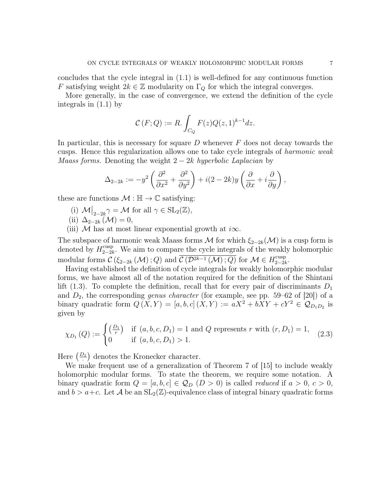concludes that the cycle integral in (1.1) is well-defined for any continuous function F satisfying weight  $2k \in \mathbb{Z}$  modularity on  $\Gamma_Q$  for which the integral converges.

More generally, in the case of convergence, we extend the definition of the cycle integrals in (1.1) by

$$
\mathcal{C}(F;Q) := R. \int_{C_Q} F(z)Q(z,1)^{k-1}dz.
$$

In particular, this is necessary for square  $D$  whenever  $F$  does not decay towards the cusps. Hence this regularization allows one to take cycle integrals of harmonic weak *Maass forms.* Denoting the weight  $2 - 2k$  hyperbolic Laplacian by

$$
\Delta_{2-2k} := -y^2 \left( \frac{\partial^2}{\partial x^2} + \frac{\partial^2}{\partial y^2} \right) + i(2 - 2k)y \left( \frac{\partial}{\partial x} + i \frac{\partial}{\partial y} \right),
$$

these are functions  $\mathcal{M} : \mathbb{H} \to \mathbb{C}$  satisfying:

- (i)  $\mathcal{M}|_{2-2k} \gamma = \mathcal{M}$  for all  $\gamma \in SL_2(\mathbb{Z}),$
- (ii)  $\Delta_{2-2k}(\mathcal{M})=0,$
- (iii) M has at most linear exponential growth at  $i\infty$ .

The subspace of harmonic weak Maass forms M for which  $\xi_{2-2k}(\mathcal{M})$  is a cusp form is denoted by  $H_{2-2l}^{\text{cusp}}$ <sup>cusp</sup><sub>2−2k</sub>. We aim to compare the cycle integrals of the weakly holomorphic modular forms  $\mathcal{C}\left(\xi_{2-2k}\left(\mathcal{M}\right);Q\right)$  and  $\overline{\mathcal{C}\left(\mathcal{D}^{2k-1}\left(\mathcal{M}\right);Q\right)}$  for  $\mathcal{M}\in H_{2-2k}^{\text{cusp}}$  $_{2-2k}$ .

Having established the definition of cycle integrals for weakly holomorphic modular forms, we have almost all of the notation required for the definition of the Shintani lift (1.3). To complete the definition, recall that for every pair of discriminants  $D_1$ and  $D_2$ , the corresponding *genus character* (for example, see pp. 59–62 of [20]) of a binary quadratic form  $Q(X,Y) = [a, b, c] (X,Y) := aX^2 + bXY + cY^2 \in \mathcal{Q}_{D_1D_2}$  is given by

$$
\chi_{D_1}(Q) := \begin{cases} \left(\frac{D_1}{r}\right) & \text{if } (a, b, c, D_1) = 1 \text{ and } Q \text{ represents } r \text{ with } (r, D_1) = 1, \\ 0 & \text{if } (a, b, c, D_1) > 1. \end{cases} (2.3)
$$

Here  $\left(\frac{D_1}{\cdot}\right)$  denotes the Kronecker character.

We make frequent use of a generalization of Theorem 7 of [15] to include weakly holomorphic modular forms. To state the theorem, we require some notation. A binary quadratic form  $Q = [a, b, c] \in \mathcal{Q}_D$   $(D > 0)$  is called *reduced* if  $a > 0, c > 0$ , and  $b > a+c$ . Let A be an  $SL_2(\mathbb{Z})$ -equivalence class of integral binary quadratic forms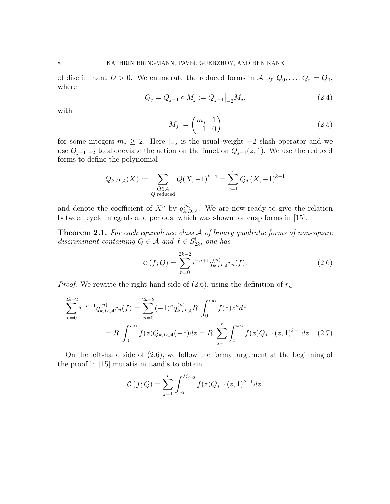of discriminant  $D > 0$ . We enumerate the reduced forms in A by  $Q_0, \ldots, Q_r = Q_0$ , where

$$
Q_j = Q_{j-1} \circ M_j := Q_{j-1} \big|_{-2} M_j,\tag{2.4}
$$

with

$$
M_j := \begin{pmatrix} m_j & 1 \\ -1 & 0 \end{pmatrix} \tag{2.5}
$$

for some integers  $m_j \geq 2$ . Here  $|_{-2}$  is the usual weight  $-2$  slash operator and we use  $Q_{j-1}|_{-2}$  to abbreviate the action on the function  $Q_{j-1}(z, 1)$ . We use the reduced forms to define the polynomial

$$
Q_{k,D,\mathcal{A}}(X) := \sum_{\substack{Q \in \mathcal{A} \\ Q \text{ reduced}}} Q(X, -1)^{k-1} = \sum_{j=1}^r Q_j (X, -1)^{k-1}
$$

and denote the coefficient of  $X^n$  by  $q_{k,D,A}^{(n)}$ . We are now ready to give the relation between cycle integrals and periods, which was shown for cusp forms in [15].

**Theorem 2.1.** For each equivalence class A of binary quadratic forms of non-square discriminant containing  $Q \in \mathcal{A}$  and  $f \in S_{2k}^!$ , one has

$$
\mathcal{C}(f;Q) = \sum_{n=0}^{2k-2} i^{-n+1} q_{k,D,A}^{(n)} r_n(f).
$$
 (2.6)

*Proof.* We rewrite the right-hand side of  $(2.6)$ , using the definition of  $r_n$ 

$$
\sum_{n=0}^{2k-2} i^{-n+1} q_{k,D,A}^{(n)} r_n(f) = \sum_{n=0}^{2k-2} (-1)^n q_{k,D,A}^{(n)} R. \int_0^{i\infty} f(z) z^n dz
$$
  
=  $R. \int_0^{i\infty} f(z) Q_{k,D,A}(-z) dz = R. \sum_{j=1}^r \int_0^{i\infty} f(z) Q_{j-1}(z, 1)^{k-1} dz.$  (2.7)

On the left-hand side of (2.6), we follow the formal argument at the beginning of the proof in [15] mutatis mutandis to obtain

$$
\mathcal{C}(f;Q) = \sum_{j=1}^{r} \int_{z_0}^{M_j z_0} f(z)Q_{j-1}(z,1)^{k-1} dz.
$$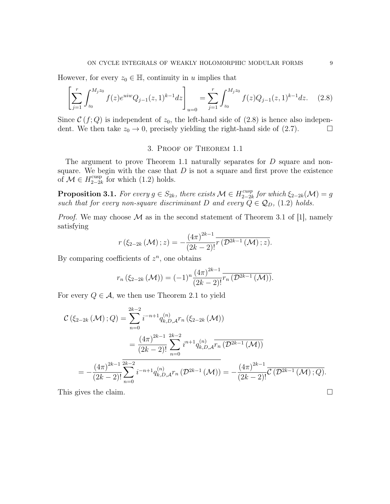However, for every  $z_0 \in \mathbb{H}$ , continuity in u implies that

$$
\left[\sum_{j=1}^{r} \int_{z_0}^{M_j z_0} f(z) e^{u i w} Q_{j-1}(z, 1)^{k-1} dz\right]_{u=0} = \sum_{j=1}^{r} \int_{z_0}^{M_j z_0} f(z) Q_{j-1}(z, 1)^{k-1} dz.
$$
 (2.8)

Since  $\mathcal{C}(f;Q)$  is independent of  $z_0$ , the left-hand side of  $(2.8)$  is hence also independent. We then take  $z_0 \to 0$ , precisely yielding the right-hand side of (2.7).

## 3. Proof of Theorem 1.1

The argument to prove Theorem 1.1 naturally separates for D square and nonsquare. We begin with the case that  $D$  is not a square and first prove the existence of  $\mathcal{M} \in H_{2-2l}^{\text{cusp}}$  $_{2-2k}^{\text{cusp}}$  for which  $(1.2)$  holds.

**Proposition 3.1.** For every  $g \in S_{2k}$ , there exists  $\mathcal{M} \in H_{2-2k}^{cusp}$  $\sum_{2-2k}^{cusp}$  for which  $\xi_{2-2k}(\mathcal{M})=g$ such that for every non-square discriminant D and every  $\ddot{Q} \in \mathcal{Q}_D$ , (1.2) holds.

*Proof.* We may choose  $\mathcal M$  as in the second statement of Theorem 3.1 of [1], namely satisfying

$$
r(\xi_{2-2k}(\mathcal{M}); z) = -\frac{(4\pi)^{2k-1}}{(2k-2)!} \overline{r(\mathcal{D}^{2k-1}(\mathcal{M}); z)}.
$$

By comparing coefficients of  $z^n$ , one obtains

$$
r_n(\xi_{2-2k}(\mathcal{M})) = (-1)^n \frac{(4\pi)^{2k-1}}{(2k-2)!} \overline{r_n(\mathcal{D}^{2k-1}(\mathcal{M}))}.
$$

For every  $Q \in \mathcal{A}$ , we then use Theorem 2.1 to yield

$$
\mathcal{C}\left(\xi_{2-2k}\left(\mathcal{M}\right);Q\right) = \sum_{n=0}^{2k-2} i^{-n+1} q_{k,D,\mathcal{A}}^{(n)} r_n \left(\xi_{2-2k}\left(\mathcal{M}\right)\right)
$$
\n
$$
= \frac{\left(4\pi\right)^{2k-1}}{\left(2k-2\right)!} \sum_{n=0}^{2k-2} i^{n+1} q_{k,D,\mathcal{A}}^{(n)} \overline{r_n \left(\mathcal{D}^{2k-1}\left(\mathcal{M}\right)\right)}
$$
\n
$$
= -\frac{\left(4\pi\right)^{2k-1}}{\left(2k-2\right)!} \sum_{n=0}^{2k-2} i^{-n+1} q_{k,D,\mathcal{A}}^{(n)} r_n \left(\mathcal{D}^{2k-1}\left(\mathcal{M}\right)\right) = -\frac{\left(4\pi\right)^{2k-1}}{\left(2k-2\right)!} \overline{\mathcal{C}\left(\mathcal{D}^{2k-1}\left(\mathcal{M}\right);Q\right)}.
$$

This gives the claim.  $\square$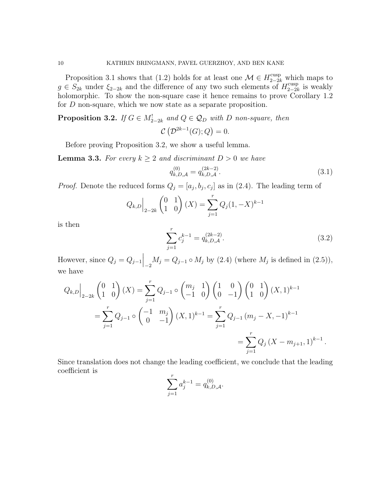Proposition 3.1 shows that (1.2) holds for at least one  $\mathcal{M} \in H^{\text{cusp}}_{2-2k}$  which maps to  $g \in S_{2k}$  under  $\xi_{2-2k}$  and the difference of any two such elements of  $H_{2-2k}^{\text{cusp}}$  $_{2-2k}^{\text{cusp}}$  is weakly holomorphic. To show the non-square case it hence remains to prove Corollary 1.2 for D non-square, which we now state as a separate proposition.

**Proposition 3.2.** If  $G \in M^!_{2-2k}$  and  $Q \in \mathcal{Q}_D$  with D non-square, then  $\mathcal{C}(\mathcal{D}^{2k-1}(G);Q)=0.$ 

Before proving Proposition 3.2, we show a useful lemma.

**Lemma 3.3.** For every  $k \geq 2$  and discriminant  $D > 0$  we have

$$
q_{k,D,\mathcal{A}}^{(0)} = q_{k,D,\mathcal{A}}^{(2k-2)}.
$$
\n(3.1)

*Proof.* Denote the reduced forms  $Q_j = [a_j, b_j, c_j]$  as in (2.4). The leading term of

$$
Q_{k,D}\Big|_{2-2k} \begin{pmatrix} 0 & 1\\ 1 & 0 \end{pmatrix} (X) = \sum_{j=1}^r Q_j (1, -X)^{k-1}
$$

is then

$$
\sum_{j=1}^{r} c_j^{k-1} = q_{k,D,A}^{(2k-2)}.
$$
\n(3.2)

However, since  $Q_j = Q_{j-1} \Big|_{-2} M_j = Q_{j-1} \circ M_j$  by (2.4) (where  $M_j$  is defined in (2.5)), we have

$$
Q_{k,D}\Big|_{2-2k} \begin{pmatrix} 0 & 1 \ 1 & 0 \end{pmatrix} (X) = \sum_{j=1}^{r} Q_{j-1} \circ \begin{pmatrix} m_j & 1 \ -1 & 0 \end{pmatrix} \begin{pmatrix} 1 & 0 \ 0 & -1 \end{pmatrix} \begin{pmatrix} 0 & 1 \ 1 & 0 \end{pmatrix} (X,1)^{k-1}
$$
  
= 
$$
\sum_{j=1}^{r} Q_{j-1} \circ \begin{pmatrix} -1 & m_j \ 0 & -1 \end{pmatrix} (X,1)^{k-1} = \sum_{j=1}^{r} Q_{j-1} (m_j - X, -1)^{k-1}
$$
  
= 
$$
\sum_{j=1}^{r} Q_j (X - m_{j+1}, 1)^{k-1}.
$$

Since translation does not change the leading coefficient, we conclude that the leading coefficient is

$$
\sum_{j=1}^{r} a_j^{k-1} = q_{k,D,A}^{(0)}.
$$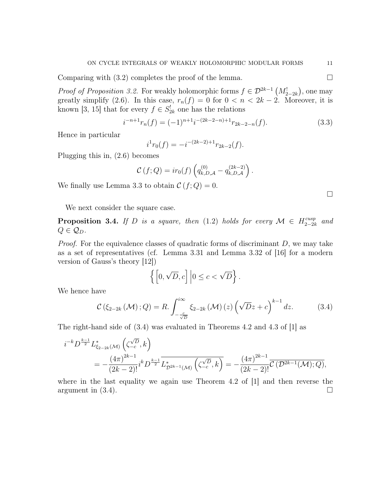Comparing with  $(3.2)$  completes the proof of the lemma.

*Proof of Proposition 3.2.* For weakly holomorphic forms  $f \in \mathcal{D}^{2k-1}(M^!_{2-2k})$ , one may greatly simplify (2.6). In this case,  $r_n(f) = 0$  for  $0 < n < 2k - 2$ . Moreover, it is known [3, 15] that for every  $f \in S_{2k}^!$  one has the relations

$$
i^{-n+1}r_n(f) = (-1)^{n+1}i^{-(2k-2-n)+1}r_{2k-2-n}(f).
$$
 (3.3)

Hence in particular

$$
i^{1}r_{0}(f) = -i^{-(2k-2)+1}r_{2k-2}(f).
$$

Plugging this in, (2.6) becomes

$$
C(f; Q) = ir_0(f) \left( q_{k,D,A}^{(0)} - q_{k,D,A}^{(2k-2)} \right).
$$

We finally use Lemma 3.3 to obtain  $\mathcal{C}(f;Q) = 0$ .

We next consider the square case.

**Proposition 3.4.** If D is a square, then (1.2) holds for every  $\mathcal{M} \in H_{2-2l}^{cusp}$ 2−2k and  $Q \in \mathcal{Q}_D$ .

*Proof.* For the equivalence classes of quadratic forms of discriminant  $D$ , we may take as a set of representatives (cf. Lemma 3.31 and Lemma 3.32 of [16] for a modern version of Gauss's theory [12])

$$
\left\{ \left[0, \sqrt{D}, c\right] \Big| 0 \le c < \sqrt{D} \right\}.
$$

We hence have

$$
\mathcal{C}\left(\xi_{2-2k}\left(\mathcal{M}\right);Q\right) = R.\int_{-\frac{c}{\sqrt{D}}}^{i\infty} \xi_{2-2k}\left(\mathcal{M}\right)\left(z\right)\left(\sqrt{D}z+c\right)^{k-1}dz.
$$
 (3.4)

The right-hand side of (3.4) was evaluated in Theorems 4.2 and 4.3 of [1] as

$$
\begin{split} i^{-k}D^{\frac{k-1}{2}}L^*_{\xi_{2-2k}(\mathcal{M})}&\left(\zeta^{\sqrt{D}}_{-c},k\right)\\ &=-\frac{\left(4\pi\right)^{2k-1}}{\left(2k-2\right)!}i^kD^{\frac{k-1}{2}}\overline{L^*_{\mathcal{D}^{2k-1}(\mathcal{M})}\left(\zeta^{\sqrt{D}}_{-c},k\right)}=-\frac{\left(4\pi\right)^{2k-1}}{\left(2k-2\right)!}\overline{\mathcal{C}\left(\mathcal{D}^{2k-1}(\mathcal{M});Q\right)}, \end{split}
$$

where in the last equality we again use Theorem 4.2 of  $[1]$  and then reverse the argument in  $(3.4)$ .

 $\Box$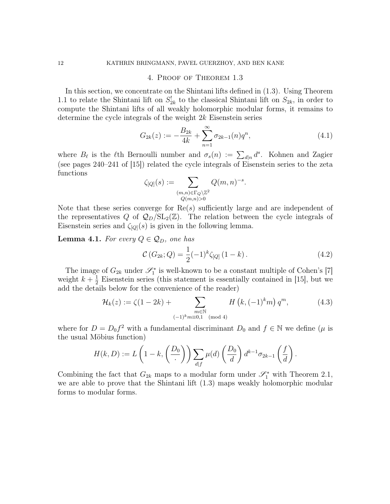### 4. Proof of Theorem 1.3

In this section, we concentrate on the Shintani lifts defined in (1.3). Using Theorem 1.1 to relate the Shintani lift on  $S_{2k}^!$  to the classical Shintani lift on  $S_{2k}$ , in order to compute the Shintani lifts of all weakly holomorphic modular forms, it remains to determine the cycle integrals of the weight 2k Eisenstein series

$$
G_{2k}(z) := -\frac{B_{2k}}{4k} + \sum_{n=1}^{\infty} \sigma_{2k-1}(n) q^n,
$$
\n(4.1)

where  $B_{\ell}$  is the  $\ell$ th Bernoulli number and  $\sigma_s(n) := \sum_{d|n} d^s$ . Kohnen and Zagier (see pages 240–241 of [15]) related the cycle integrals of Eisenstein series to the zeta functions

$$
\zeta_{[Q]}(s) := \sum_{\substack{(m,n) \in \Gamma_Q \backslash \mathbb{Z}^2 \\ Q(m,n) > 0}} Q(m,n)^{-s}.
$$

Note that these series converge for  $\text{Re}(s)$  sufficiently large and are independent of the representatives Q of  $\mathcal{Q}_D/\mathrm{SL}_2(\mathbb{Z})$ . The relation between the cycle integrals of Eisenstein series and  $\zeta_{[Q]}(s)$  is given in the following lemma.

**Lemma 4.1.** For every  $Q \in \mathcal{Q}_D$ , one has

$$
\mathcal{C}(G_{2k};Q) = \frac{1}{2}(-1)^k \zeta_{[Q]}(1-k). \qquad (4.2)
$$

The image of  $G_{2k}$  under  $\mathscr{S}_1^*$  is well-known to be a constant multiple of Cohen's [7] weight  $k+\frac{1}{2}$  $\frac{1}{2}$  Eisenstein series (this statement is essentially contained in [15], but we add the details below for the convenience of the reader)

$$
\mathcal{H}_k(z) := \zeta(1 - 2k) + \sum_{\substack{m \in \mathbb{N} \\ (-1)^k m \equiv 0,1 \pmod{4}}} H\left(k, (-1)^k m\right) q^m, \tag{4.3}
$$

where for  $D = D_0 f^2$  with a fundamental discriminant  $D_0$  and  $f \in \mathbb{N}$  we define  $(\mu)$  is the usual Möbius function)

$$
H(k, D) := L\left(1 - k, \left(\frac{D_0}{\cdot}\right)\right) \sum_{d \mid f} \mu(d) \left(\frac{D_0}{d}\right) d^{k-1} \sigma_{2k-1}\left(\frac{f}{d}\right).
$$

Combining the fact that  $G_{2k}$  maps to a modular form under  $\mathscr{S}_1^*$  with Theorem 2.1, we are able to prove that the Shintani lift (1.3) maps weakly holomorphic modular forms to modular forms.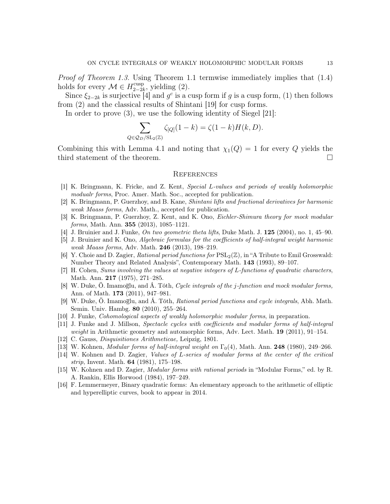Proof of Theorem 1.3. Using Theorem 1.1 termwise immediately implies that (1.4) holds for every  $\mathcal{M} \in H_{2-2l}^{\text{cusp}}$  $_{2-2k}^{cusp}$ , yielding  $(2)$ .

Since  $\xi_{2-2k}$  is surjective [4] and  $g^c$  is a cusp form if g is a cusp form, (1) then follows from (2) and the classical results of Shintani [19] for cusp forms.

In order to prove (3), we use the following identity of Siegel [21]:

$$
\sum_{Q \in \mathcal{Q}_D / SL_2(\mathbb{Z})} \zeta_{[Q]}(1-k) = \zeta(1-k)H(k,D).
$$

Combining this with Lemma 4.1 and noting that  $\chi_1(Q) = 1$  for every Q yields the third statement of the theorem.

### **REFERENCES**

- [1] K. Bringmann, K. Fricke, and Z. Kent, Special L-values and periods of weakly holomorphic modualr forms, Proc. Amer. Math. Soc., accepted for publication.
- [2] K. Bringmann, P. Guerzhoy, and B. Kane, Shintani lifts and fractional derivatives for harmonic weak Maass forms, Adv. Math., accepted for publication.
- [3] K. Bringmann, P. Guerzhoy, Z. Kent, and K. Ono, *Eichler-Shimura theory for mock modular* forms, Math. Ann. 355 (2013), 1085–1121.
- [4] J. Bruinier and J. Funke, On two geometric theta lifts, Duke Math. J.  $125$  (2004), no. 1, 45–90.
- [5] J. Bruinier and K. Ono, Algebraic formulas for the coefficients of half-integral weight harmonic weak Maass forms, Adv. Math. **246** (2013), 198-219.
- [6] Y. Choie and D. Zagier, Rational period functions for  $PSL_2(\mathbb{Z})$ , in "A Tribute to Emil Grosswald: Number Theory and Related Analysis", Contemporary Math. 143 (1993), 89–107.
- [7] H. Cohen, Sums involving the values at negative integers of L-functions of quadratic characters, Math. Ann. 217 (1975), 271–285.
- [8] W. Duke, Ö. Imamoglu, and Á. Tóth, *Cycle integrals of the j-function and mock modular forms*, Ann. of Math. 173 (2011), 947–981.
- [9] W. Duke, Ö. Imamoglu, and Á. Tóth, Rational period functions and cycle integrals, Abh. Math. Semin. Univ. Hambg. 80 (2010), 255–264.
- [10] J. Funke, Cohomological aspects of weakly holomorphic modular forms, in preparation.
- [11] J. Funke and J. Millson, Spectacle cycles with coefficients and modular forms of half-integral weight in Arithmetic geometry and automorphic forms, Adv. Lect. Math.  $19$  (2011), 91–154.
- [12] C. Gauss, Disquisitiones Arithmeticae, Leipzig, 1801.
- [13] W. Kohnen, *Modular forms of half-integral weight on*  $\Gamma_0(4)$ , Math. Ann. **248** (1980), 249–266.
- [14] W. Kohnen and D. Zagier, Values of L-series of modular forms at the center of the critical strip, Invent. Math. 64 (1981), 175–198.
- [15] W. Kohnen and D. Zagier, Modular forms with rational periods in "Modular Forms," ed. by R. A. Rankin, Ellis Horwood (1984), 197–249.
- [16] F. Lemmermeyer, Binary quadratic forms: An elementary approach to the arithmetic of elliptic and hyperelliptic curves, book to appear in 2014.